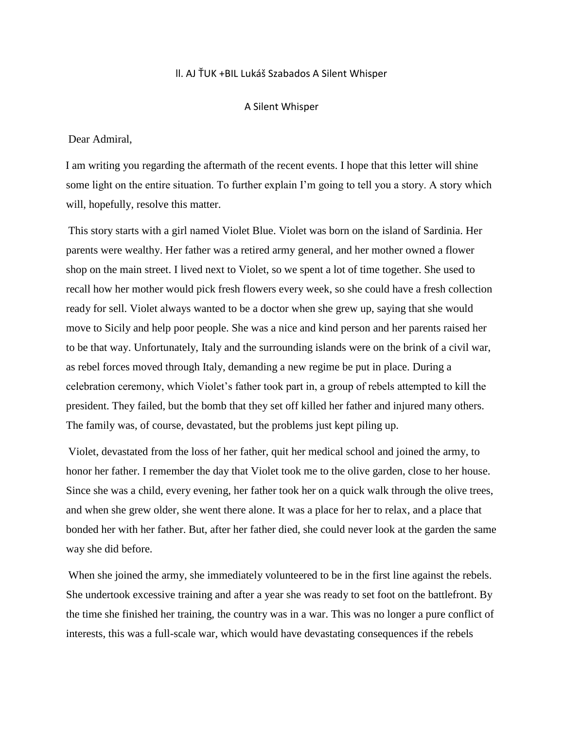# ll. AJ ŤUK +BIL Lukáš Szabados A Silent Whisper

### A Silent Whisper

Dear Admiral,

I am writing you regarding the aftermath of the recent events. I hope that this letter will shine some light on the entire situation. To further explain I'm going to tell you a story. A story which will, hopefully, resolve this matter.

This story starts with a girl named Violet Blue. Violet was born on the island of Sardinia. Her parents were wealthy. Her father was a retired army general, and her mother owned a flower shop on the main street. I lived next to Violet, so we spent a lot of time together. She used to recall how her mother would pick fresh flowers every week, so she could have a fresh collection ready for sell. Violet always wanted to be a doctor when she grew up, saying that she would move to Sicily and help poor people. She was a nice and kind person and her parents raised her to be that way. Unfortunately, Italy and the surrounding islands were on the brink of a civil war, as rebel forces moved through Italy, demanding a new regime be put in place. During a celebration ceremony, which Violet's father took part in, a group of rebels attempted to kill the president. They failed, but the bomb that they set off killed her father and injured many others. The family was, of course, devastated, but the problems just kept piling up.

Violet, devastated from the loss of her father, quit her medical school and joined the army, to honor her father. I remember the day that Violet took me to the olive garden, close to her house. Since she was a child, every evening, her father took her on a quick walk through the olive trees, and when she grew older, she went there alone. It was a place for her to relax, and a place that bonded her with her father. But, after her father died, she could never look at the garden the same way she did before.

When she joined the army, she immediately volunteered to be in the first line against the rebels. She undertook excessive training and after a year she was ready to set foot on the battlefront. By the time she finished her training, the country was in a war. This was no longer a pure conflict of interests, this was a full-scale war, which would have devastating consequences if the rebels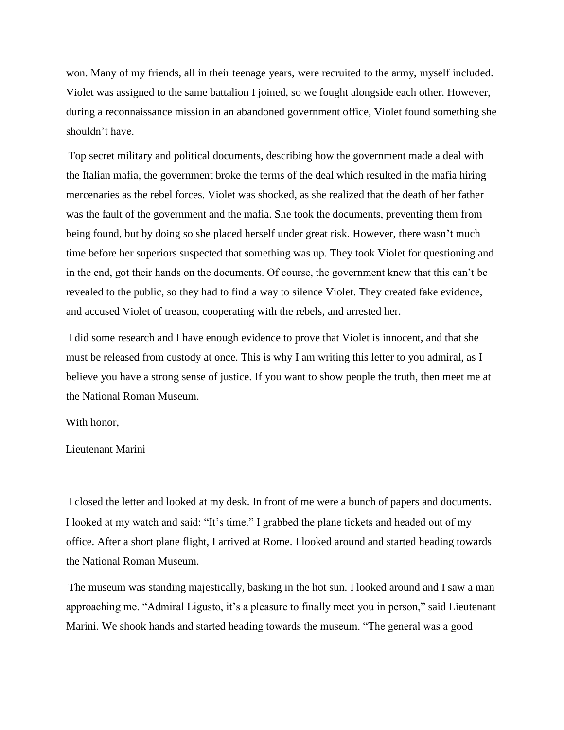won. Many of my friends, all in their teenage years, were recruited to the army, myself included. Violet was assigned to the same battalion I joined, so we fought alongside each other. However, during a reconnaissance mission in an abandoned government office, Violet found something she shouldn't have.

Top secret military and political documents, describing how the government made a deal with the Italian mafia, the government broke the terms of the deal which resulted in the mafia hiring mercenaries as the rebel forces. Violet was shocked, as she realized that the death of her father was the fault of the government and the mafia. She took the documents, preventing them from being found, but by doing so she placed herself under great risk. However, there wasn't much time before her superiors suspected that something was up. They took Violet for questioning and in the end, got their hands on the documents. Of course, the government knew that this can't be revealed to the public, so they had to find a way to silence Violet. They created fake evidence, and accused Violet of treason, cooperating with the rebels, and arrested her.

I did some research and I have enough evidence to prove that Violet is innocent, and that she must be released from custody at once. This is why I am writing this letter to you admiral, as I believe you have a strong sense of justice. If you want to show people the truth, then meet me at the National Roman Museum.

#### With honor,

## Lieutenant Marini

I closed the letter and looked at my desk. In front of me were a bunch of papers and documents. I looked at my watch and said: "It's time." I grabbed the plane tickets and headed out of my office. After a short plane flight, I arrived at Rome. I looked around and started heading towards the National Roman Museum.

The museum was standing majestically, basking in the hot sun. I looked around and I saw a man approaching me. "Admiral Ligusto, it's a pleasure to finally meet you in person," said Lieutenant Marini. We shook hands and started heading towards the museum. "The general was a good